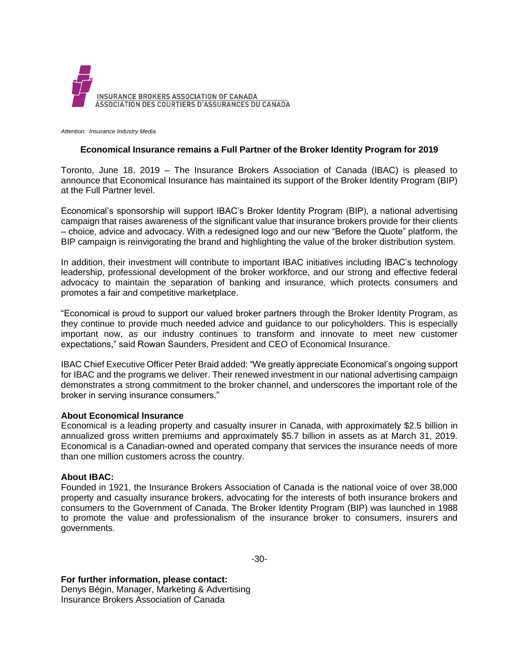

*Attention: Insurance Industry Media*

## **Economical Insurance remains a Full Partner of the Broker Identity Program for 2019**

Toronto, June 18, 2019 – The Insurance Brokers Association of Canada (IBAC) is pleased to announce that Economical Insurance has maintained its support of the Broker Identity Program (BIP) at the Full Partner level.

Economical's sponsorship will support IBAC's Broker Identity Program (BIP), a national advertising campaign that raises awareness of the significant value that insurance brokers provide for their clients – choice, advice and advocacy. With a redesigned logo and our new "Before the Quote" platform, the BIP campaign is reinvigorating the brand and highlighting the value of the broker distribution system.

In addition, their investment will contribute to important IBAC initiatives including IBAC's technology leadership, professional development of the broker workforce, and our strong and effective federal advocacy to maintain the separation of banking and insurance, which protects consumers and promotes a fair and competitive marketplace.

"Economical is proud to support our valued broker partners through the Broker Identity Program, as they continue to provide much needed advice and guidance to our policyholders. This is especially important now, as our industry continues to transform and innovate to meet new customer expectations," said Rowan Saunders, President and CEO of Economical Insurance.

IBAC Chief Executive Officer Peter Braid added: "We greatly appreciate Economical's ongoing support for IBAC and the programs we deliver. Their renewed investment in our national advertising campaign demonstrates a strong commitment to the broker channel, and underscores the important role of the broker in serving insurance consumers."

## **About Economical Insurance**

Economical is a leading property and casualty insurer in Canada, with approximately \$2.5 billion in annualized gross written premiums and approximately \$5.7 billion in assets as at March 31, 2019. Economical is a Canadian-owned and operated company that services the insurance needs of more than one million customers across the country.

## **About IBAC:**

Founded in 1921, the Insurance Brokers Association of Canada is the national voice of over 38,000 property and casualty insurance brokers, advocating for the interests of both insurance brokers and consumers to the Government of Canada. The Broker Identity Program (BIP) was launched in 1988 to promote the value and professionalism of the insurance broker to consumers, insurers and governments.

-30-

## **For further information, please contact:**

Denys Bégin, Manager, Marketing & Advertising Insurance Brokers Association of Canada